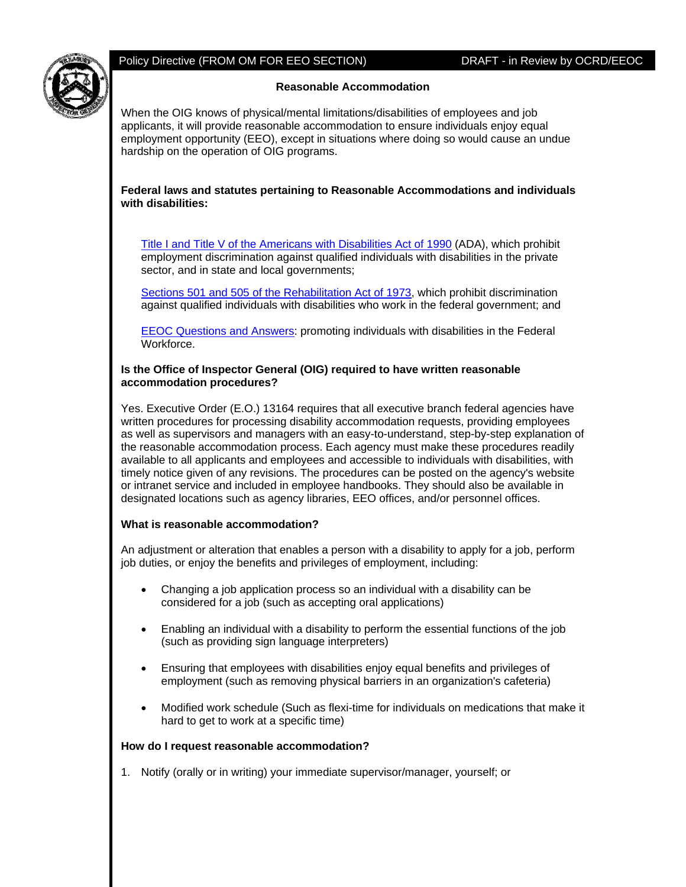

## Policy Directive (FROM OM FOR EEO SECTION) DRAFT - in Review by OCRD/EEOC

## **Reasonable Accommodation**

When the OIG knows of physical/mental limitations/disabilities of employees and job applicants, it will provide reasonable accommodation to ensure individuals enjoy equal employment opportunity (EEO), except in situations where doing so would cause an undue hardship on the operation of OIG programs.

## **Federal laws and statutes pertaining to Reasonable Accommodations and individuals with disabilities:**

[Title I and Title V of the Americans with Disabilities Act of 1990](http://www.eeoc.gov/policy/ada.html) (ADA), which prohibit employment discrimination against qualified individuals with disabilities in the private sector, and in state and local governments;

[Sections 501 and 505 of the Rehabilitation Act of 1973](http://www.eeoc.gov/policy/rehab.html), which prohibit discrimination against qualified individuals with disabilities who work in the federal government; and

[EEOC Questions and Answers:](http://www.eeoc.gov/federal/qanda-employment-with-disabilities.html) promoting individuals with disabilities in the Federal Workforce.

#### **Is the Office of Inspector General (OIG) required to have written reasonable accommodation procedures?**

Yes. Executive Order (E.O.) 13164 requires that all executive branch federal agencies have written procedures for processing disability accommodation requests, providing employees as well as supervisors and managers with an easy-to-understand, step-by-step explanation of the reasonable accommodation process. Each agency must make these procedures readily available to all applicants and employees and accessible to individuals with disabilities, with timely notice given of any revisions. The procedures can be posted on the agency's website or intranet service and included in employee handbooks. They should also be available in designated locations such as agency libraries, EEO offices, and/or personnel offices.

# **What is reasonable accommodation?**

An adjustment or alteration that enables a person with a disability to apply for a job, perform job duties, or enjoy the benefits and privileges of employment, including:

- Changing a job application process so an individual with a disability can be considered for a job (such as accepting oral applications)
- Enabling an individual with a disability to perform the essential functions of the job (such as providing sign language interpreters)
- Ensuring that employees with disabilities enjoy equal benefits and privileges of employment (such as removing physical barriers in an organization's cafeteria)
- Modified work schedule (Such as flexi-time for individuals on medications that make it hard to get to work at a specific time)

## **How do I request reasonable accommodation?**

1. Notify (orally or in writing) your immediate supervisor/manager, yourself; or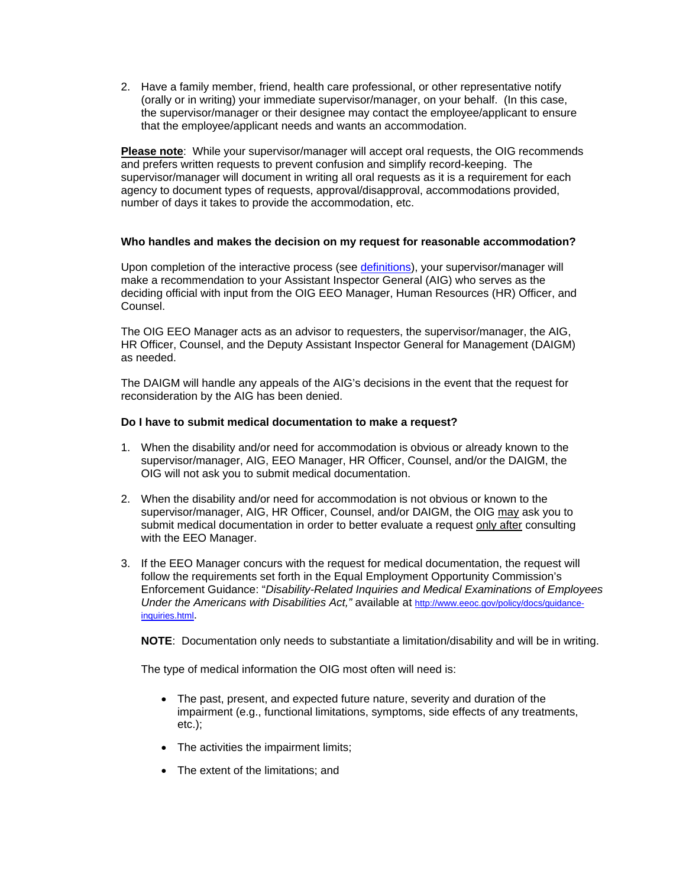2. Have a family member, friend, health care professional, or other representative notify (orally or in writing) your immediate supervisor/manager, on your behalf. (In this case, the supervisor/manager or their designee may contact the employee/applicant to ensure that the employee/applicant needs and wants an accommodation.

**Please note**: While your supervisor/manager will accept oral requests, the OIG recommends and prefers written requests to prevent confusion and simplify record-keeping. The supervisor/manager will document in writing all oral requests as it is a requirement for each agency to document types of requests, approval/disapproval, accommodations provided, number of days it takes to provide the accommodation, etc.

## **Who handles and makes the decision on my request for reasonable accommodation?**

Upon completion of the interactive process (see [definitions](#page-6-0)), your supervisor/manager will make a recommendation to your Assistant Inspector General (AIG) who serves as the deciding official with input from the OIG EEO Manager, Human Resources (HR) Officer, and Counsel.

The OIG EEO Manager acts as an advisor to requesters, the supervisor/manager, the AIG, HR Officer, Counsel, and the Deputy Assistant Inspector General for Management (DAIGM) as needed.

The DAIGM will handle any appeals of the AIG's decisions in the event that the request for reconsideration by the AIG has been denied.

## **Do I have to submit medical documentation to make a request?**

- 1. When the disability and/or need for accommodation is obvious or already known to the supervisor/manager, AIG, EEO Manager, HR Officer, Counsel, and/or the DAIGM, the OIG will not ask you to submit medical documentation.
- 2. When the disability and/or need for accommodation is not obvious or known to the supervisor/manager, AIG, HR Officer, Counsel, and/or DAIGM, the OIG may ask you to submit medical documentation in order to better evaluate a request only after consulting with the EEO Manager.
- 3. If the EEO Manager concurs with the request for medical documentation, the request will follow the requirements set forth in the Equal Employment Opportunity Commission's Enforcement Guidance: "*Disability-Related Inquiries and Medical Examinations of Employees Under the Americans with Disabilities Act,"* available at [http://www.eeoc.gov/policy/docs/guidance](http://www.eeoc.gov/policy/docs/guidance-inquiries.html)[inquiries.html](http://www.eeoc.gov/policy/docs/guidance-inquiries.html).

**NOTE**: Documentation only needs to substantiate a limitation/disability and will be in writing.

The type of medical information the OIG most often will need is:

- The past, present, and expected future nature, severity and duration of the impairment (e.g., functional limitations, symptoms, side effects of any treatments, etc.);
- The activities the impairment limits;
- The extent of the limitations; and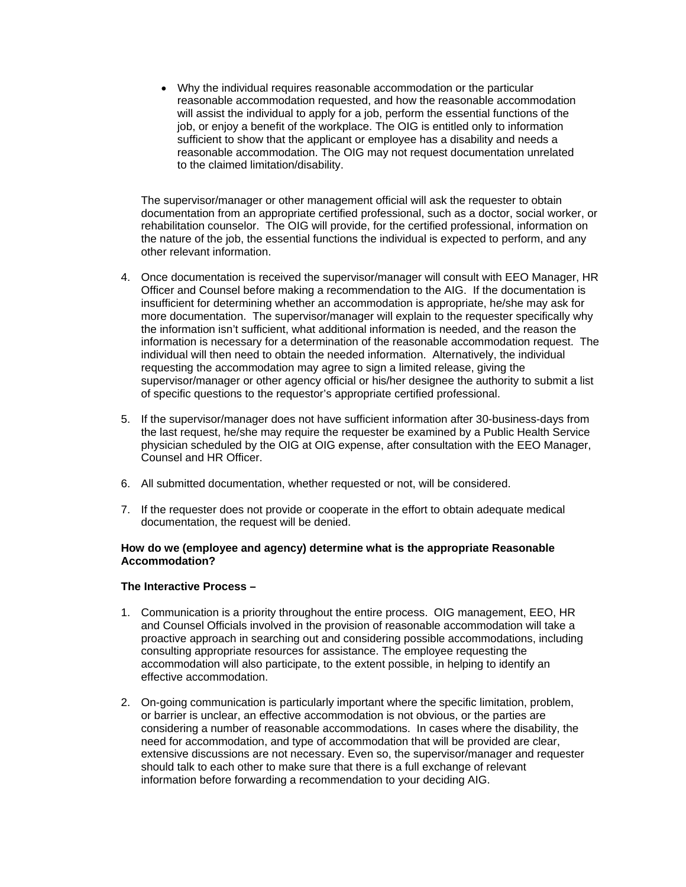• Why the individual requires reasonable accommodation or the particular reasonable accommodation requested, and how the reasonable accommodation will assist the individual to apply for a job, perform the essential functions of the job, or enjoy a benefit of the workplace. The OIG is entitled only to information sufficient to show that the applicant or employee has a disability and needs a reasonable accommodation. The OIG may not request documentation unrelated to the claimed limitation/disability.

The supervisor/manager or other management official will ask the requester to obtain documentation from an appropriate certified professional, such as a doctor, social worker, or rehabilitation counselor. The OIG will provide, for the certified professional, information on the nature of the job, the essential functions the individual is expected to perform, and any other relevant information.

- 4. Once documentation is received the supervisor/manager will consult with EEO Manager, HR Officer and Counsel before making a recommendation to the AIG. If the documentation is insufficient for determining whether an accommodation is appropriate, he/she may ask for more documentation. The supervisor/manager will explain to the requester specifically why the information isn't sufficient, what additional information is needed, and the reason the information is necessary for a determination of the reasonable accommodation request. The individual will then need to obtain the needed information. Alternatively, the individual requesting the accommodation may agree to sign a limited release, giving the supervisor/manager or other agency official or his/her designee the authority to submit a list of specific questions to the requestor's appropriate certified professional.
- 5. If the supervisor/manager does not have sufficient information after 30-business-days from the last request, he/she may require the requester be examined by a Public Health Service physician scheduled by the OIG at OIG expense, after consultation with the EEO Manager, Counsel and HR Officer.
- 6. All submitted documentation, whether requested or not, will be considered.
- 7. If the requester does not provide or cooperate in the effort to obtain adequate medical documentation, the request will be denied.

## **How do we (employee and agency) determine what is the appropriate Reasonable Accommodation?**

## **The Interactive Process –**

- 1. Communication is a priority throughout the entire process. OIG management, EEO, HR and Counsel Officials involved in the provision of reasonable accommodation will take a proactive approach in searching out and considering possible accommodations, including consulting appropriate resources for assistance. The employee requesting the accommodation will also participate, to the extent possible, in helping to identify an effective accommodation.
- 2. On-going communication is particularly important where the specific limitation, problem, or barrier is unclear, an effective accommodation is not obvious, or the parties are considering a number of reasonable accommodations. In cases where the disability, the need for accommodation, and type of accommodation that will be provided are clear, extensive discussions are not necessary. Even so, the supervisor/manager and requester should talk to each other to make sure that there is a full exchange of relevant information before forwarding a recommendation to your deciding AIG.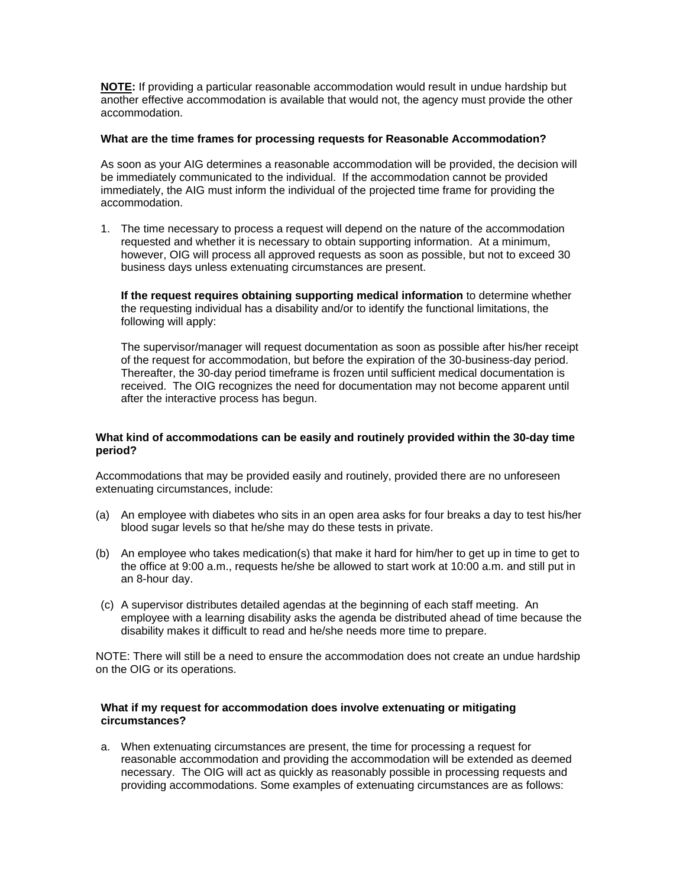**NOTE:** If providing a particular reasonable accommodation would result in undue hardship but another effective accommodation is available that would not, the agency must provide the other accommodation.

#### **What are the time frames for processing requests for Reasonable Accommodation?**

As soon as your AIG determines a reasonable accommodation will be provided, the decision will be immediately communicated to the individual. If the accommodation cannot be provided immediately, the AIG must inform the individual of the projected time frame for providing the accommodation.

1. The time necessary to process a request will depend on the nature of the accommodation requested and whether it is necessary to obtain supporting information. At a minimum, however, OIG will process all approved requests as soon as possible, but not to exceed 30 business days unless extenuating circumstances are present.

**If the request requires obtaining supporting medical information** to determine whether the requesting individual has a disability and/or to identify the functional limitations, the following will apply:

 The supervisor/manager will request documentation as soon as possible after his/her receipt of the request for accommodation, but before the expiration of the 30-business-day period. Thereafter, the 30-day period timeframe is frozen until sufficient medical documentation is received. The OIG recognizes the need for documentation may not become apparent until after the interactive process has begun.

## **What kind of accommodations can be easily and routinely provided within the 30-day time period?**

Accommodations that may be provided easily and routinely, provided there are no unforeseen extenuating circumstances, include:

- (a) An employee with diabetes who sits in an open area asks for four breaks a day to test his/her blood sugar levels so that he/she may do these tests in private.
- (b) An employee who takes medication(s) that make it hard for him/her to get up in time to get to the office at 9:00 a.m., requests he/she be allowed to start work at 10:00 a.m. and still put in an 8-hour day.
- (c) A supervisor distributes detailed agendas at the beginning of each staff meeting. An employee with a learning disability asks the agenda be distributed ahead of time because the disability makes it difficult to read and he/she needs more time to prepare.

NOTE: There will still be a need to ensure the accommodation does not create an undue hardship on the OIG or its operations.

### **What if my request for accommodation does involve extenuating or mitigating circumstances?**

a. When extenuating circumstances are present, the time for processing a request for reasonable accommodation and providing the accommodation will be extended as deemed necessary. The OIG will act as quickly as reasonably possible in processing requests and providing accommodations. Some examples of extenuating circumstances are as follows: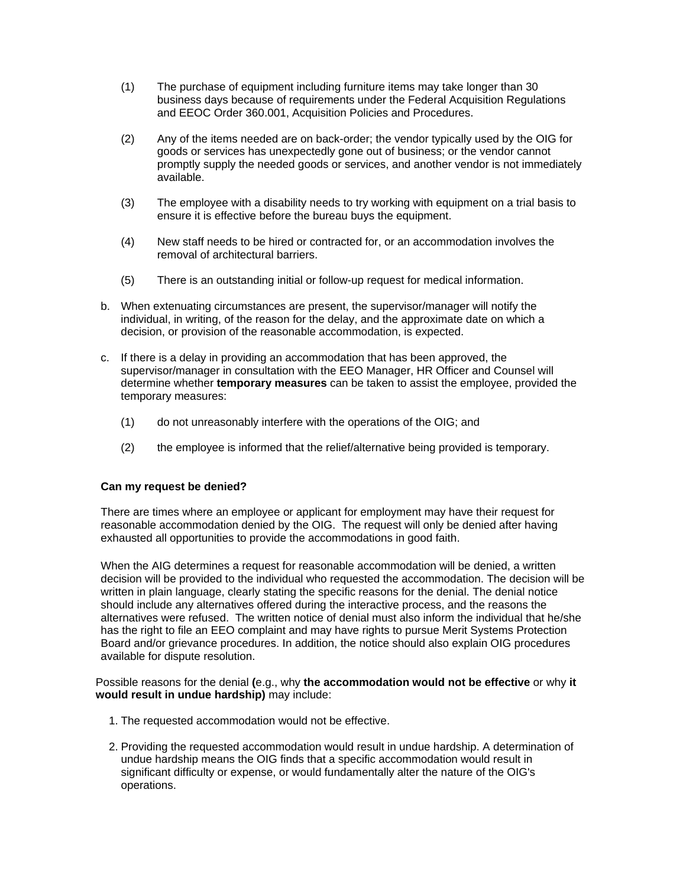- (1) The purchase of equipment including furniture items may take longer than 30 business days because of requirements under the Federal Acquisition Regulations and EEOC Order 360.001, Acquisition Policies and Procedures.
- (2) Any of the items needed are on back-order; the vendor typically used by the OIG for goods or services has unexpectedly gone out of business; or the vendor cannot promptly supply the needed goods or services, and another vendor is not immediately available.
- (3) The employee with a disability needs to try working with equipment on a trial basis to ensure it is effective before the bureau buys the equipment.
- (4) New staff needs to be hired or contracted for, or an accommodation involves the removal of architectural barriers.
- (5) There is an outstanding initial or follow-up request for medical information.
- b. When extenuating circumstances are present, the supervisor/manager will notify the individual, in writing, of the reason for the delay, and the approximate date on which a decision, or provision of the reasonable accommodation, is expected.
- c. If there is a delay in providing an accommodation that has been approved, the supervisor/manager in consultation with the EEO Manager, HR Officer and Counsel will determine whether **temporary measures** can be taken to assist the employee, provided the temporary measures:
	- (1) do not unreasonably interfere with the operations of the OIG; and
	- (2) the employee is informed that the relief/alternative being provided is temporary.

## **Can my request be denied?**

There are times where an employee or applicant for employment may have their request for reasonable accommodation denied by the OIG. The request will only be denied after having exhausted all opportunities to provide the accommodations in good faith.

When the AIG determines a request for reasonable accommodation will be denied, a written decision will be provided to the individual who requested the accommodation. The decision will be written in plain language, clearly stating the specific reasons for the denial. The denial notice should include any alternatives offered during the interactive process, and the reasons the alternatives were refused. The written notice of denial must also inform the individual that he/she has the right to file an EEO complaint and may have rights to pursue Merit Systems Protection Board and/or grievance procedures. In addition, the notice should also explain OIG procedures available for dispute resolution.

#### Possible reasons for the denial **(**e.g., why **the accommodation would not be effective** or why **it would result in undue hardship)** may include:

- 1. The requested accommodation would not be effective.
- 2. Providing the requested accommodation would result in undue hardship. A determination of undue hardship means the OIG finds that a specific accommodation would result in significant difficulty or expense, or would fundamentally alter the nature of the OIG's operations.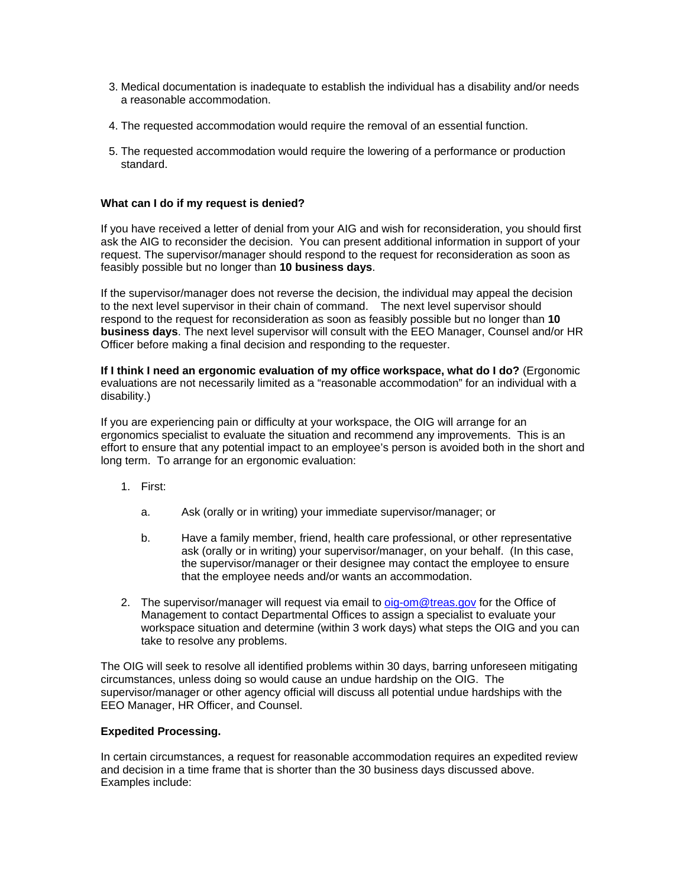- 3. Medical documentation is inadequate to establish the individual has a disability and/or needs a reasonable accommodation.
- 4. The requested accommodation would require the removal of an essential function.
- 5. The requested accommodation would require the lowering of a performance or production standard.

## **What can I do if my request is denied?**

If you have received a letter of denial from your AIG and wish for reconsideration, you should first ask the AIG to reconsider the decision. You can present additional information in support of your request. The supervisor/manager should respond to the request for reconsideration as soon as feasibly possible but no longer than **10 business days**.

If the supervisor/manager does not reverse the decision, the individual may appeal the decision to the next level supervisor in their chain of command. The next level supervisor should respond to the request for reconsideration as soon as feasibly possible but no longer than **10 business days**. The next level supervisor will consult with the EEO Manager, Counsel and/or HR Officer before making a final decision and responding to the requester.

**If I think I need an ergonomic evaluation of my office workspace, what do I do?** (Ergonomic evaluations are not necessarily limited as a "reasonable accommodation" for an individual with a disability.)

If you are experiencing pain or difficulty at your workspace, the OIG will arrange for an ergonomics specialist to evaluate the situation and recommend any improvements. This is an effort to ensure that any potential impact to an employee's person is avoided both in the short and long term. To arrange for an ergonomic evaluation:

- 1. First:
	- a. Ask (orally or in writing) your immediate supervisor/manager; or
	- b. Have a family member, friend, health care professional, or other representative ask (orally or in writing) your supervisor/manager, on your behalf. (In this case, the supervisor/manager or their designee may contact the employee to ensure that the employee needs and/or wants an accommodation.
- 2. The supervisor/manager will request via email to [oig-om@treas.gov](mailto:oig-om@treas.gov) for the Office of Management to contact Departmental Offices to assign a specialist to evaluate your workspace situation and determine (within 3 work days) what steps the OIG and you can take to resolve any problems.

The OIG will seek to resolve all identified problems within 30 days, barring unforeseen mitigating circumstances, unless doing so would cause an undue hardship on the OIG. The supervisor/manager or other agency official will discuss all potential undue hardships with the EEO Manager, HR Officer, and Counsel.

## **Expedited Processing.**

In certain circumstances, a request for reasonable accommodation requires an expedited review and decision in a time frame that is shorter than the 30 business days discussed above. Examples include: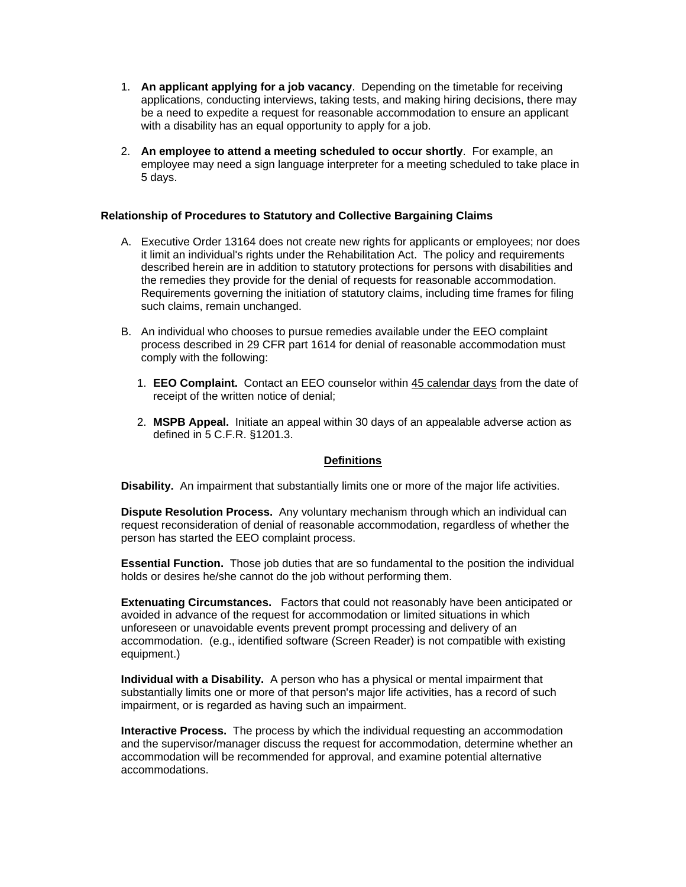- <span id="page-6-0"></span>1. **An applicant applying for a job vacancy**. Depending on the timetable for receiving applications, conducting interviews, taking tests, and making hiring decisions, there may be a need to expedite a request for reasonable accommodation to ensure an applicant with a disability has an equal opportunity to apply for a job.
- 2. **An employee to attend a meeting scheduled to occur shortly**. For example, an employee may need a sign language interpreter for a meeting scheduled to take place in 5 days.

## **Relationship of Procedures to Statutory and Collective Bargaining Claims**

- A. Executive Order 13164 does not create new rights for applicants or employees; nor does it limit an individual's rights under the Rehabilitation Act. The policy and requirements described herein are in addition to statutory protections for persons with disabilities and the remedies they provide for the denial of requests for reasonable accommodation. Requirements governing the initiation of statutory claims, including time frames for filing such claims, remain unchanged.
- B. An individual who chooses to pursue remedies available under the EEO complaint process described in 29 CFR part 1614 for denial of reasonable accommodation must comply with the following:
	- 1. **EEO Complaint.** Contact an EEO counselor within 45 calendar days from the date of receipt of the written notice of denial;
	- 2. **MSPB Appeal.** Initiate an appeal within 30 days of an appealable adverse action as defined in 5 C.F.R. §1201.3.

## **Definitions**

**Disability.** An impairment that substantially limits one or more of the major life activities.

**Dispute Resolution Process.** Any voluntary mechanism through which an individual can request reconsideration of denial of reasonable accommodation, regardless of whether the person has started the EEO complaint process.

**Essential Function.** Those job duties that are so fundamental to the position the individual holds or desires he/she cannot do the job without performing them.

**Extenuating Circumstances.** Factors that could not reasonably have been anticipated or avoided in advance of the request for accommodation or limited situations in which unforeseen or unavoidable events prevent prompt processing and delivery of an accommodation. (e.g., identified software (Screen Reader) is not compatible with existing equipment.)

**Individual with a Disability.** A person who has a physical or mental impairment that substantially limits one or more of that person's major life activities, has a record of such impairment, or is regarded as having such an impairment.

**Interactive Process.** The process by which the individual requesting an accommodation and the supervisor/manager discuss the request for accommodation, determine whether an accommodation will be recommended for approval, and examine potential alternative accommodations.